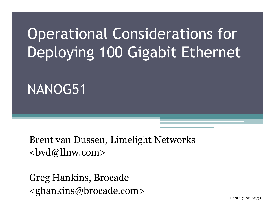| <b>Operational Considerations for</b> |  |  |
|---------------------------------------|--|--|
| Deploying 100 Gigabit Ethernet        |  |  |

### NANOG51

Brent van Dussen, Limelight Networks  $$ 

Greg Hankins, Brocade <ghankins@brocade.com>

NANOG51 2011/01/31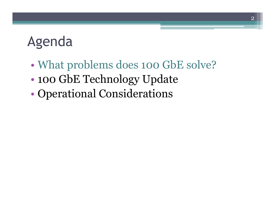# Agenda

• What problems does 100 GbE solve?

 $\mathbf{2}\vert$ 

- 100 GbE Technology Update
- Operational Considerations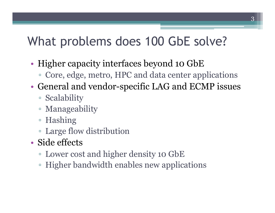### What problems does 100 GbE solve?

- Higher capacity interfaces beyond 10 GbE
	- Core, edge, metro, HPC and data center applications
- General and vendor-specific LAG and ECMP issues
	- Scalability
	- Manageability
	- Hashing
	- Large flow distribution
- Side effects
	- Lower cost and higher density 10 GbE
	- Higher bandwidth enables new applications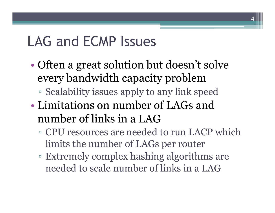# LAG and ECMP Issues

- Often a great solution but doesn't solve every bandwidth capacity problem
	- Scalability issues apply to any link speed
- Limitations on number of LAGs and number of links in a LAG
	- CPU resources are needed to run LACP which limits the number of LAGs per router
	- Extremely complex hashing algorithms are needed to scale number of links in a LAG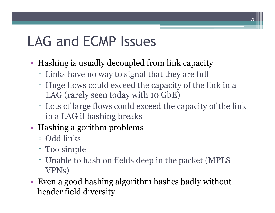# LAG and ECMP Issues

- Hashing is usually decoupled from link capacity
	- Links have no way to signal that they are full
	- Huge flows could exceed the capacity of the link in a LAG (rarely seen today with 10 GbE)
	- Lots of large flows could exceed the capacity of the link in a LAG if hashing breaks

 $5^\parallel$ 

- Hashing algorithm problems
	- Odd links
	- Too simple
	- Unable to hash on fields deep in the packet (MPLS VPNs)
- Even a good hashing algorithm hashes badly without header field diversity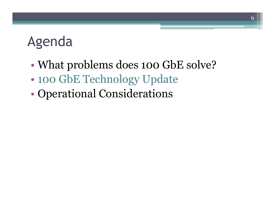# Agenda

• What problems does 100 GbE solve?

- 100 GbE Technology Update
- Operational Considerations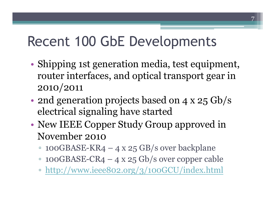### Recent 100 GbE Developments

- Shipping 1st generation media, test equipment, router interfaces, and optical transport gear in 2010/2011
- 2nd generation projects based on 4 x 25 Gb/s electrical signaling have started
- New IEEE Copper Study Group approved in November 2010
	- □ 100GBASE-KR4 4 x 25 GB/s over backplane
	- □ 100GBASE-CR4 4 x 25 Gb/s over copper cable
	- http://www.ieee802.org/3/100GCU/index.html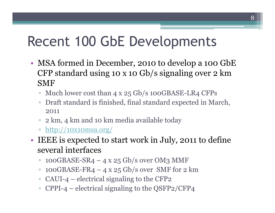### Recent 100 GbE Developments

- MSA formed in December, 2010 to develop a 100 GbE CFP standard using 10 x 10 Gb/s signaling over 2 km SMF
	- Much lower cost than 4 x 25 Gb/s 100GBASE-LR4 CFPs
	- Draft standard is finished, final standard expected in March, 2011
	- 2 km, 4 km and 10 km media available today
	- http://10x10msa.org/
- IEEE is expected to start work in July, 2011 to define several interfaces
	- $100GBASE-SR4 4 \times 25 \text{ Gb/s over OM3 MMF}$
	- □ 100GBASE-FR4 4 x 25 Gb/s over SMF for 2 km
	- CAUI-4 electrical signaling to the CFP2
	- CPPI-4 electrical signaling to the QSFP2/CFP4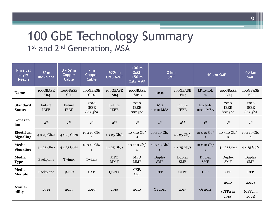#### 100 GbE Technology Summary 1st and 2<sup>nd</sup> Generation, MSA

| <b>Physical</b><br>Layer<br><b>Reach</b> | $12 \text{ m}$<br><b>Backplane</b> | $3 - 5?$ m<br>Copper<br>Cable | 7 <sub>m</sub><br>Copper<br><b>Cable</b> | 100? m<br>OM3 MMF        | 100 m<br><b>OM3,</b><br>150 m<br><b>OM4 MMF</b> |                             | 2 km<br><b>SMF</b>          |                                    | 10 km SMF                      | <b>40 km</b><br><b>SMF</b>     |
|------------------------------------------|------------------------------------|-------------------------------|------------------------------------------|--------------------------|-------------------------------------------------|-----------------------------|-----------------------------|------------------------------------|--------------------------------|--------------------------------|
| <b>Name</b>                              | 100GBASE<br>$-KR4$                 | 100GBASE<br>$-CR4$            | 100GBASE<br>$-CR10$                      | 100GBASE<br>$-SR4$       | 100GBASE<br>$-SR10$                             | 10X10                       | 100GBASE<br>$-FR4$          | <b>LR10-10k</b><br>m               | 100GBASE<br>$-LR4$             | 100GBASE<br>$-ER4$             |
| <b>Standard</b><br><b>Status</b>         | Future<br><b>IEEE</b>              | Future<br><b>IEEE</b>         | 2010<br><b>IEEE</b><br>802.3ba           | Future<br><b>IEEE</b>    | 2010<br><b>IEEE</b><br>802.3ba                  | 2011<br>10X10 MSA           | Future<br><b>IEEE</b>       | <b>Exceeds</b><br>10X10 MSA        | 2010<br><b>IEEE</b><br>802.3ba | 2010<br><b>IEEE</b><br>802.3ba |
| Generat-<br>ion                          | 2 <sup>nd</sup>                    | 2 <sup>nd</sup>               | 1 <sup>st</sup>                          | 2 <sup>nd</sup>          | 1 <sup>st</sup>                                 | 1 <sup>st</sup>             | 2 <sup>nd</sup>             | 1 <sup>st</sup>                    | 1 <sup>st</sup>                | 1 <sup>st</sup>                |
| Electrical<br><b>Signaling</b>           | 4 x 25 Gb/s                        | 4x25Gb/s                      | 10 x 10 Gb/<br>S                         | 4 x 25 Gb/s              | 10 x 10 Gb/<br>S                                | 10 x 10 Gb/<br>S            | 4 x 25 Gb/s                 | 10 x 10 Gb/<br>S                   | 10 x 10 Gb/<br>${\bf S}$       | 10 x 10 Gb/<br>${\bf S}$       |
| Media<br><b>Signaling</b>                | $4 \times 25$ Gb/s                 | $4 \times 25$ Gb/s            | 10 x 10 Gb/<br>S                         | $4 \times 25$ Gb/s       | 10 x 10 Gb/<br>${\bf S}$                        | 10 x 10 Gb/<br>S            | $4 \times 25$ Gb/s          | $10 \times 10$ Gb/<br><sub>S</sub> | $4 \times 25$ Gb/s             | $4 \times 25$ Gb/s             |
| Media<br><b>Type</b>                     | Backplane                          | Twinax                        | Twinax                                   | <b>MPO</b><br><b>MMF</b> | <b>MPO</b><br><b>MMF</b>                        | <b>Duplex</b><br><b>SMF</b> | <b>Duplex</b><br><b>SMF</b> | <b>Duplex</b><br><b>SMF</b>        | <b>Duplex</b><br><b>SMF</b>    | <b>Duplex</b><br><b>SMF</b>    |
| Media<br>Module                          | Backplane                          | QSFP <sub>2</sub>             | <b>CXP</b>                               | QSPF <sub>2</sub>        | CXP,<br><b>CFP</b>                              | <b>CFP</b>                  | CFP <sub>2</sub>            | <b>CFP</b>                         | <b>CFP</b>                     | <b>CFP</b>                     |
| Availa-<br>bility                        | 2013                               | 2013                          | 2010                                     | 2013                     | 2010                                            | Q1 2011                     | 2013                        | Q1 2011                            | 2010<br>(CFP2 in<br>2013)      | $2012+$<br>(CFP2 in<br>2013)   |

 $\Omega$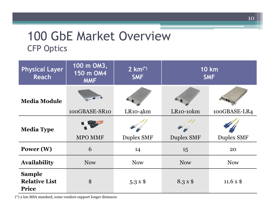#### 100 GbE Market Overview CFP Optics

| <b>Physical Layer</b><br><b>Reach</b>                 | 100 m OM3,<br>150 m OM4<br><b>MMF</b> | $2 \text{ km}^{(*)}$<br><b>SMF</b> | <b>10 km</b><br><b>SMF</b> |                   |
|-------------------------------------------------------|---------------------------------------|------------------------------------|----------------------------|-------------------|
| <b>Media Module</b>                                   |                                       |                                    |                            |                   |
|                                                       | 100GBASE-SR10                         | $LR10-4km$                         | LR10-10km                  | 100GBASE-LR4      |
| <b>Media Type</b>                                     |                                       |                                    |                            |                   |
|                                                       | <b>MPO MMF</b>                        | Duplex SMF                         | <b>Duplex SMF</b>          | <b>Duplex SMF</b> |
| Power (W)                                             | 6                                     | 14                                 | 15                         | 20                |
| <b>Availability</b>                                   | <b>Now</b>                            | <b>Now</b>                         | <b>Now</b>                 | <b>Now</b>        |
| <b>Sample</b><br><b>Relative List</b><br><b>Price</b> | \$                                    | $5.3 \times$ \$                    | $8.3 \times $$             | 11.6 $\times$ \$  |

(\*) 2 km MSA standard, some vendors support longer distances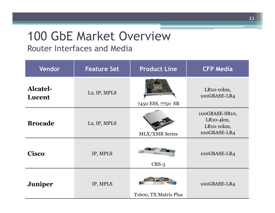#### 100 GbE Market Overview Router Interfaces and Media

| Vendor                    | <b>Feature Set</b>        | <b>Product Line</b>   | <b>CFP Media</b>                                            |
|---------------------------|---------------------------|-----------------------|-------------------------------------------------------------|
| <b>Alcatel-</b><br>Lucent | L <sub>2</sub> , IP, MPLS | 7450 ESS, 7750 SR     | $LR10-10km$ ,<br>100GBASE-LR4                               |
| <b>Brocade</b>            | L <sub>2</sub> , IP, MPLS | <b>MLX/XMR Series</b> | 100GBASE-SR10,<br>$LR10-4km,$<br>LR10-10km,<br>100GBASE-LR4 |
| <b>Cisco</b>              | IP, MPLS                  | $CRS-3$               | 100GBASE-LR4                                                |
| <b>Juniper</b>            | IP, MPLS                  | T1600, TX Matrix Plus | 100GBASE-LR4                                                |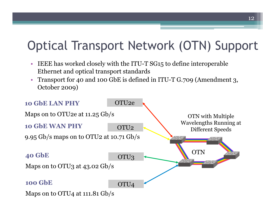### Optical Transport Network (OTN) Support

- IEEE has worked closely with the ITU-T SG15 to define interoperable Ethernet and optical transport standards
- Transport for 40 and 100 GbE is defined in ITU-T G.709 (Amendment 3, October 2009)

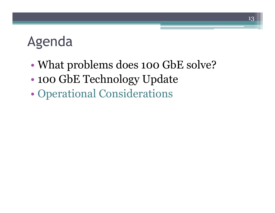# Agenda

- What problems does 100 GbE solve?
- 100 GbE Technology Update
- Operational Considerations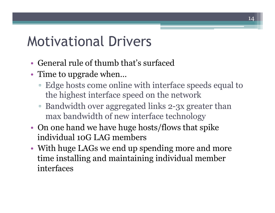### Motivational Drivers

- General rule of thumb that's surfaced
- Time to upgrade when...
	- Edge hosts come online with interface speeds equal to the highest interface speed on the network
	- Bandwidth over aggregated links 2-3x greater than max bandwidth of new interface technology
- On one hand we have huge hosts/flows that spike individual 10G LAG members
- With huge LAGs we end up spending more and more time installing and maintaining individual member interfaces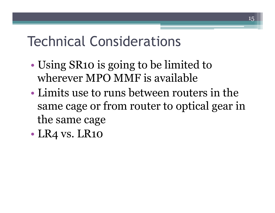### Technical Considerations

- Using SR10 is going to be limited to wherever MPO MMF is available
- Limits use to runs between routers in the same cage or from router to optical gear in the same cage

 $15\vert$ 

• LR4 vs. LR10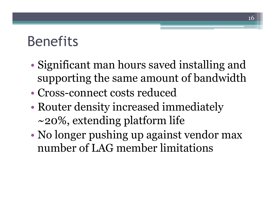### **Benefits**

- Significant man hours saved installing and supporting the same amount of bandwidth
- Cross-connect costs reduced
- Router density increased immediately ~20%, extending platform life
- No longer pushing up against vendor max number of LAG member limitations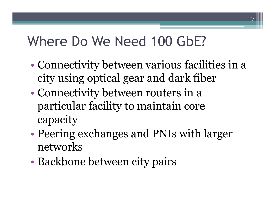### Where Do We Need 100 GbE?

• Connectivity between various facilities in a city using optical gear and dark fiber

- Connectivity between routers in a particular facility to maintain core capacity
- Peering exchanges and PNIs with larger networks
- Backbone between city pairs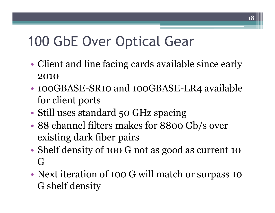# 100 GbE Over Optical Gear

- Client and line facing cards available since early 2010
- 100GBASE-SR10 and 100GBASE-LR4 available for client ports
- Still uses standard 50 GHz spacing
- 88 channel filters makes for 8800 Gb/s over existing dark fiber pairs
- Shelf density of 100 G not as good as current 10 G
- Next iteration of 100 G will match or surpass 10 G shelf density